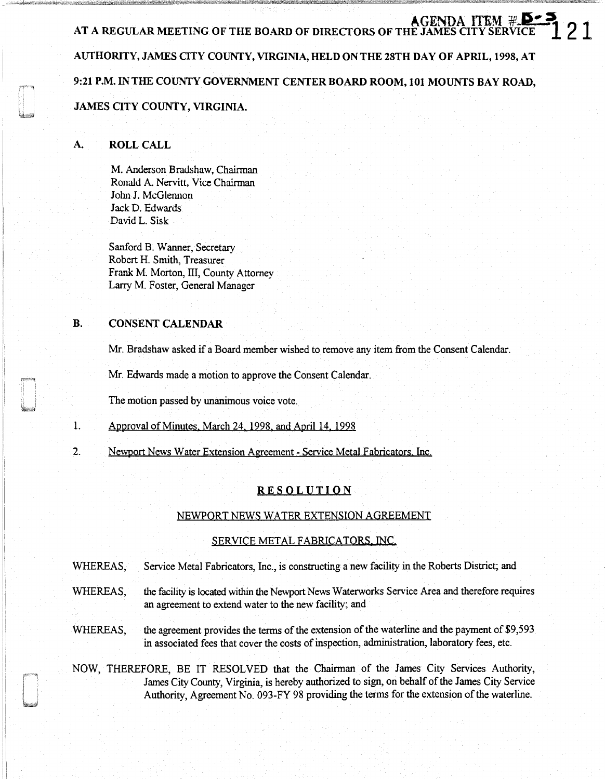AGENDA ITEM<br>AT A REGULAR MEETING OF THE BOARD OF DIRECTORS OF THE JAMES CITY SER AUTHORITY, JAMES OTY COUNTY, VIRGINIA, HELD ON THE 28TH DAY OF APRIL, 1998, AT 9:21 P.M. IN THE COUNTY GOVERNMENT CENTER BOARD ROOM, 101 MOUNTS BAY ROAD, JAMES CITY COUNTY, VIRGINIA.

## A. ROLL CALL

M. Anderson Bradshaw, Chairman Ronald A. Nervitt, Vice Chairman John J. McGlennon Jack D. Edwards David L. Sisk

Sanford B. Wanner, Secretary Robert H. Smith, Treasurer Frank M. Morton, III, County Attorney Larry M. Foster, General Manager

## B. CONSENT CALENDAR

Mr. Bradshaw asked if a Board member wished to remove any item from the Consent Calendar.

Mr. Edwards made a motion to approve the Consent Calendar.

The motion passed by unanimous voice vote.

- 1. Approval of Minutes. March 24. 1998. and April 14. 1998
- 2. Newport News Water Extension Agreement Service Metal Fabricators, Inc.

### **RESOLUTION**

### NEWPORT NEWS WATER EXTENSION AGREEMENT

### SERVICE METAL FABRICATORS, INC.

WHEREAS, Service Metal Fabricators, Inc., is constructing a new facility in the Roberts District; and

WHEREAS, the facility is located within the Newport News Waterworks Service Area and therefore requires an agreement to extend water to the new facility; and

WHEREAS, the agreement provides the terms of the extension of the waterline and the payment of \$9,593 in associated fees that cover the costs of inspection, administration, laboratory fees, etc.

NOW, THEREFORE, BE IT RESOLVED that the Chairman of the James City Services Authority, James City County, Virginia, is hereby authorized to sign, on behalf of the James City Service Authority, Agreement No. 093-FY 98 providing the terms for the extension of the waterline.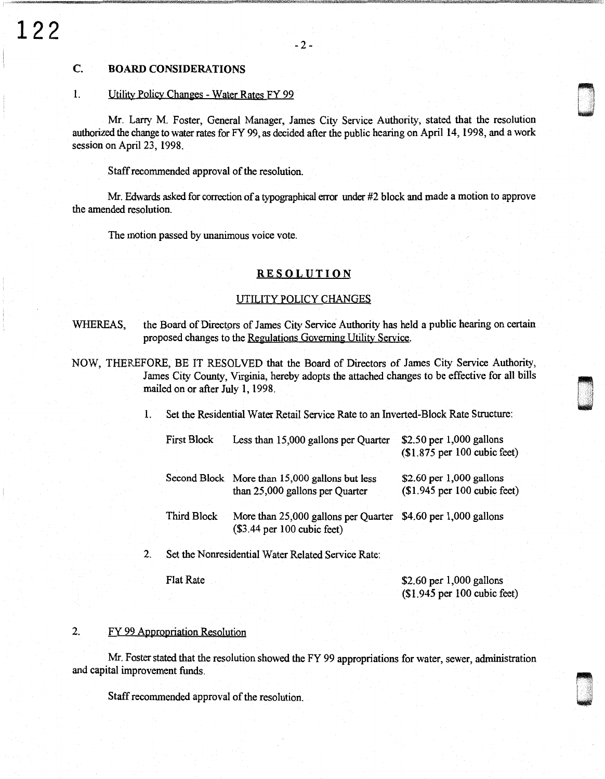## C. **BOARD** CONSIDERATIONS

## 1. Utility Policy Changes - Water Rates FY 99

Mr. Larry M. Foster, General Manager, James City Service Authority, stated that the resolution authorized the change to water rates for FY 99, as decided after the public hearing on April 14, 1998, and a work session on April 23, 1998.

Staff recommended approval of the resolution.

Mr. Edwards asked for correction of a typographical error under #2 block and made a motion to approve the amended resolution.

The motion passed by unanimous voice vote.

### **RESOLUTION**

#### UTILITY POLICY CHANGES

- WHEREAS, the Board of Directors of James City Service Authority has held a public hearing on certain proposed changes to the Regulations Governing Utility Service.
- NOW, THEREFORE, BE IT RESOLVED that the Board of Directors of James City Service Authority, James City County, Virginia, hereby adopts the attached changes to be effective for all bills mailed on or after July 1, 1998.

1. Set the Residential Water Retail Service Rate to an Inverted-Block Rate Structure:

| <b>First Block</b> | Less than 15,000 gallons per Quarter                                              | $$2.50$ per 1,000 gallons<br>$($1.875$ per 100 cubic feet)  |
|--------------------|-----------------------------------------------------------------------------------|-------------------------------------------------------------|
|                    | Second Block More than 15,000 gallons but less<br>than 25,000 gallons per Quarter | \$2.60 per $1,000$ gallons<br>$($1.945$ per 100 cubic feet) |
| Third Block        | More than 25,000 gallons per Quarter<br>$(S3.44$ per 100 cubic feet)              | $$4.60$ per 1,000 gallons                                   |

2. Set the Nonresidential Water Related Service Rate:

Flat Rate

\$2.60 per 1,000 gallons (\$1.945 per 100 cubic feet)  $\overline{\phantom{a}}$ 

n u

## 2. FY 99 Appropriation Resolution

Mr. Foster stated that the resolution showed the FY 99 appropriations for water, sewer, administration and capital improvement funds.

Staff recommended approval of the resolution.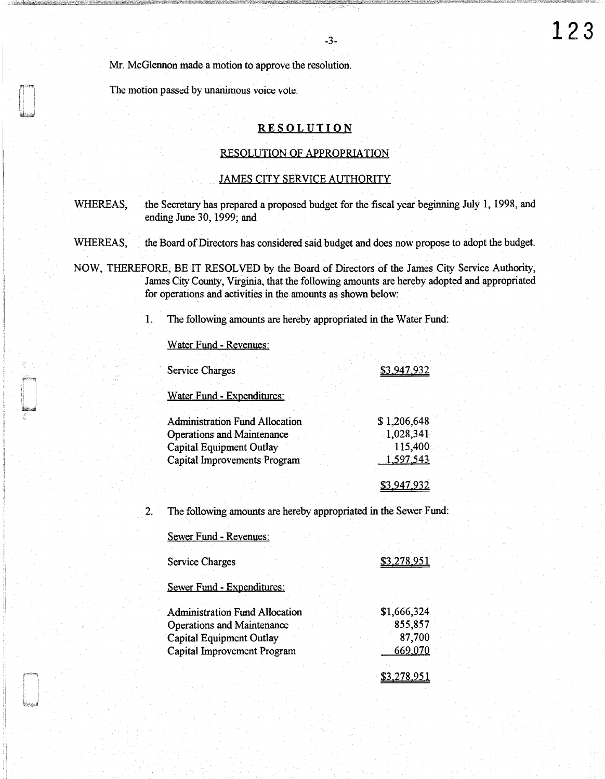Mr. McGlennon made a motion to approve the resolution.

The motion passed by unanimous voice vote.

## **RESOLUTION**

-3-

## RESOLUTION OF APPROPRIATION

#### JAMES CITY SERVICE AUTHORITY

WHEREAS, the Secretary has prepared a proposed budget for the fiscal year beginning July 1, 1998, and ending June 30, 1999; and

WHEREAS, the Board of Directors has considered said budget and does now propose to adopt the budget.

NOW, THEREFORE, BE IT RESOLVED by the Board of Directors of the James City Service Authority, James City County, Virginia, that the following amounts are hereby adopted and appropriated for operations and activities in the amounts as shown below:

1. The following amounts are hereby appropriated in the Water Fund:

Water Fund- Revenues:

| <b>Service Charges</b>                | \$3,947,932 |
|---------------------------------------|-------------|
| Water Fund - Expenditures:            |             |
| <b>Administration Fund Allocation</b> | \$1,206,648 |
| Operations and Maintenance            | 1,028,341   |
| Capital Equipment Outlay              | 115,400     |
| Capital Improvements Program          | 1,597,543   |
|                                       |             |
|                                       |             |

2. The following amounts are hereby appropriated in the Sewer Fund:

Sewer Fund - Revenues: Service Charges Sewer Fund - Expenditures: Administration Fund Allocation Operations and Maintenance Capital Equipment Outlay Capital Improvement Program \$3,278,951 \$1,666,324 855,857 87,700 669 070 \$3.278.951